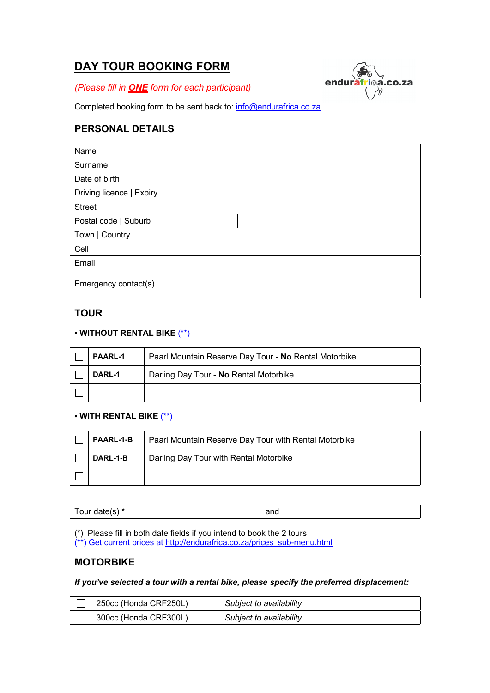# **DAY TOUR BOOKING FORM**

*(Please fill in ONE form for each participant)*



Completed booking form to be sent back to: info@endurafrica.co.za

# **PERSONAL DETAILS**

| Name                     |  |  |
|--------------------------|--|--|
| Surname                  |  |  |
| Date of birth            |  |  |
| Driving licence   Expiry |  |  |
| <b>Street</b>            |  |  |
| Postal code   Suburb     |  |  |
| Town   Country           |  |  |
| Cell                     |  |  |
| Email                    |  |  |
| Emergency contact(s)     |  |  |

# **TOUR**

### **• WITHOUT RENTAL BIKE** (\*\*)

| <b>PAARL-1</b><br>Paarl Mountain Reserve Day Tour - No Rental Motorbike |                                        |
|-------------------------------------------------------------------------|----------------------------------------|
| DARL-1                                                                  | Darling Day Tour - No Rental Motorbike |
|                                                                         |                                        |

### **• WITH RENTAL BIKE** (\*\*)

| <b>PAARL-1-B</b><br>Paarl Mountain Reserve Day Tour with Rental Motorbike |                                        |  |
|---------------------------------------------------------------------------|----------------------------------------|--|
| DARL-1-B                                                                  | Darling Day Tour with Rental Motorbike |  |
|                                                                           |                                        |  |

| `*<br>Tour date(s) | and |  |
|--------------------|-----|--|
|--------------------|-----|--|

(\*) Please fill in both date fields if you intend to book the 2 tours

(\*\*) Get current prices at http://endurafrica.co.za/prices\_sub-menu.html

## **MOTORBIKE**

*If you've selected a tour with a rental bike, please specify the preferred displacement:*

| 250cc (Honda CRF250L) | Subject to availability |
|-----------------------|-------------------------|
| 300cc (Honda CRF300L) | Subject to availability |